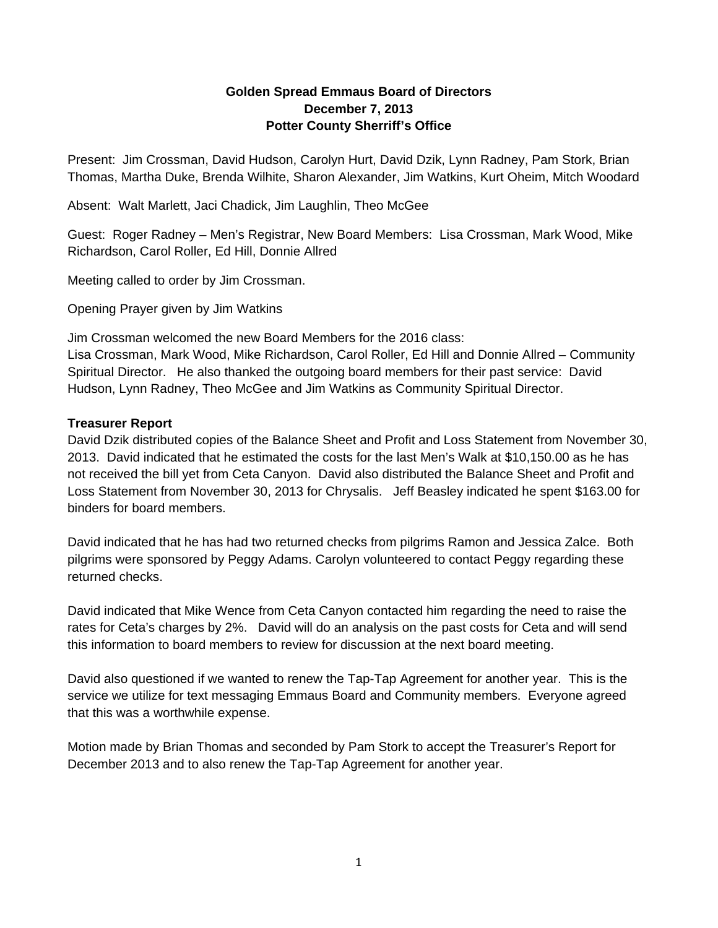### **Golden Spread Emmaus Board of Directors December 7, 2013 Potter County Sherriff's Office**

Present: Jim Crossman, David Hudson, Carolyn Hurt, David Dzik, Lynn Radney, Pam Stork, Brian Thomas, Martha Duke, Brenda Wilhite, Sharon Alexander, Jim Watkins, Kurt Oheim, Mitch Woodard

Absent: Walt Marlett, Jaci Chadick, Jim Laughlin, Theo McGee

Guest: Roger Radney – Men's Registrar, New Board Members: Lisa Crossman, Mark Wood, Mike Richardson, Carol Roller, Ed Hill, Donnie Allred

Meeting called to order by Jim Crossman.

Opening Prayer given by Jim Watkins

Jim Crossman welcomed the new Board Members for the 2016 class:

Lisa Crossman, Mark Wood, Mike Richardson, Carol Roller, Ed Hill and Donnie Allred – Community Spiritual Director. He also thanked the outgoing board members for their past service: David Hudson, Lynn Radney, Theo McGee and Jim Watkins as Community Spiritual Director.

### **Treasurer Report**

David Dzik distributed copies of the Balance Sheet and Profit and Loss Statement from November 30, 2013. David indicated that he estimated the costs for the last Men's Walk at \$10,150.00 as he has not received the bill yet from Ceta Canyon. David also distributed the Balance Sheet and Profit and Loss Statement from November 30, 2013 for Chrysalis. Jeff Beasley indicated he spent \$163.00 for binders for board members.

David indicated that he has had two returned checks from pilgrims Ramon and Jessica Zalce. Both pilgrims were sponsored by Peggy Adams. Carolyn volunteered to contact Peggy regarding these returned checks.

David indicated that Mike Wence from Ceta Canyon contacted him regarding the need to raise the rates for Ceta's charges by 2%. David will do an analysis on the past costs for Ceta and will send this information to board members to review for discussion at the next board meeting.

David also questioned if we wanted to renew the Tap-Tap Agreement for another year. This is the service we utilize for text messaging Emmaus Board and Community members. Everyone agreed that this was a worthwhile expense.

Motion made by Brian Thomas and seconded by Pam Stork to accept the Treasurer's Report for December 2013 and to also renew the Tap-Tap Agreement for another year.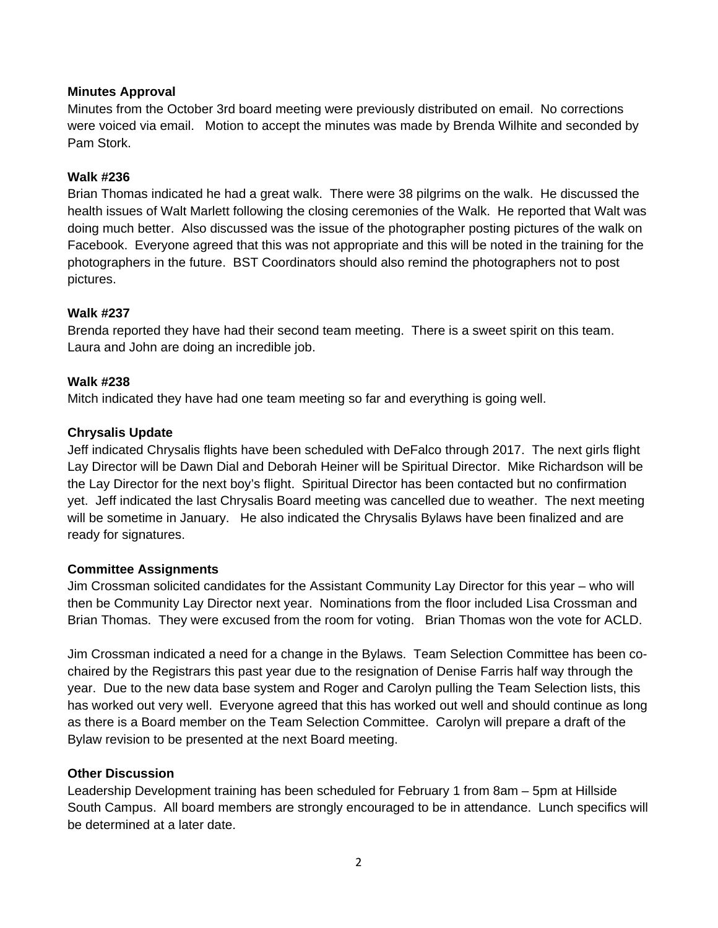#### **Minutes Approval**

Minutes from the October 3rd board meeting were previously distributed on email. No corrections were voiced via email. Motion to accept the minutes was made by Brenda Wilhite and seconded by Pam Stork.

## **Walk #236**

Brian Thomas indicated he had a great walk. There were 38 pilgrims on the walk. He discussed the health issues of Walt Marlett following the closing ceremonies of the Walk. He reported that Walt was doing much better. Also discussed was the issue of the photographer posting pictures of the walk on Facebook. Everyone agreed that this was not appropriate and this will be noted in the training for the photographers in the future. BST Coordinators should also remind the photographers not to post pictures.

### **Walk #237**

Brenda reported they have had their second team meeting. There is a sweet spirit on this team. Laura and John are doing an incredible job.

#### **Walk #238**

Mitch indicated they have had one team meeting so far and everything is going well.

### **Chrysalis Update**

Jeff indicated Chrysalis flights have been scheduled with DeFalco through 2017. The next girls flight Lay Director will be Dawn Dial and Deborah Heiner will be Spiritual Director. Mike Richardson will be the Lay Director for the next boy's flight. Spiritual Director has been contacted but no confirmation yet. Jeff indicated the last Chrysalis Board meeting was cancelled due to weather. The next meeting will be sometime in January. He also indicated the Chrysalis Bylaws have been finalized and are ready for signatures.

#### **Committee Assignments**

Jim Crossman solicited candidates for the Assistant Community Lay Director for this year – who will then be Community Lay Director next year. Nominations from the floor included Lisa Crossman and Brian Thomas. They were excused from the room for voting. Brian Thomas won the vote for ACLD.

Jim Crossman indicated a need for a change in the Bylaws. Team Selection Committee has been cochaired by the Registrars this past year due to the resignation of Denise Farris half way through the year. Due to the new data base system and Roger and Carolyn pulling the Team Selection lists, this has worked out very well. Everyone agreed that this has worked out well and should continue as long as there is a Board member on the Team Selection Committee. Carolyn will prepare a draft of the Bylaw revision to be presented at the next Board meeting.

# **Other Discussion**

Leadership Development training has been scheduled for February 1 from 8am – 5pm at Hillside South Campus. All board members are strongly encouraged to be in attendance. Lunch specifics will be determined at a later date.